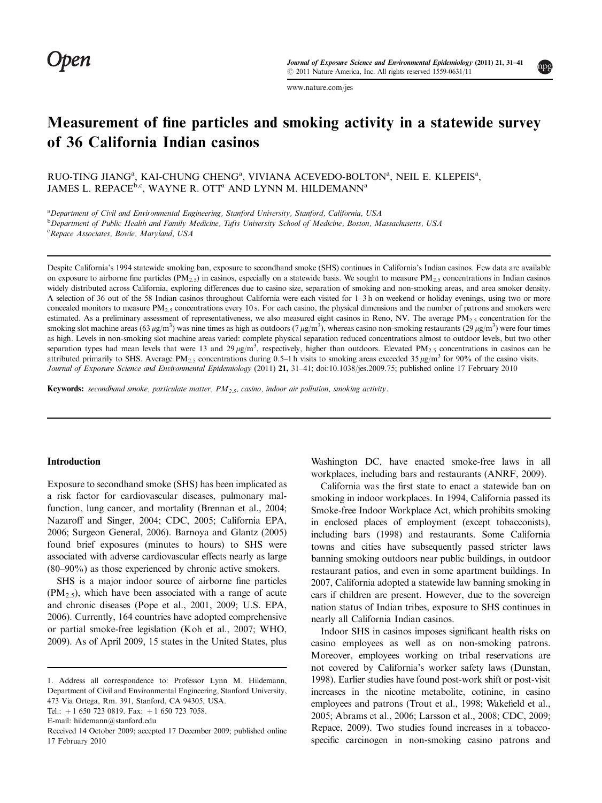mpg

[www.nature.com/jes](http://www.nature.com/jes)

# Measurement of fine particles and smoking activity in a statewide survey of 36 California Indian casinos

RUO-TING JIANG<sup>a</sup>, KAI-CHUNG CHENG<sup>a</sup>, VIVIANA ACEVEDO-BOLTON<sup>a</sup>, NEIL E. KLEPEIS<sup>a</sup>, JAMES L. REPACE<sup>b,c</sup>, WAYNE R. OTT<sup>a</sup> AND LYNN M. HILDEMANN<sup>a</sup>

<sup>a</sup> Department of Civil and Environmental Engineering, Stanford University, Stanford, California, USA

<sup>b</sup> Department of Public Health and Family Medicine, Tufts University School of Medicine, Boston, Massachusetts, USA

<sup>c</sup> Repace Associates, Bowie, Maryland, USA

Despite California's 1994 statewide smoking ban, exposure to secondhand smoke (SHS) continues in California's Indian casinos. Few data are available on exposure to airborne fine particles (PM<sub>2.5</sub>) in casinos, especially on a statewide basis. We sought to measure PM<sub>2.5</sub> concentrations in Indian casinos widely distributed across California, exploring differences due to casino size, separation of smoking and non-smoking areas, and area smoker density. A selection of 36 out of the 58 Indian casinos throughout California were each visited for 1–3 h on weekend or holiday evenings, using two or more concealed monitors to measure  $PM_{2.5}$  concentrations every 10 s. For each casino, the physical dimensions and the number of patrons and smokers were estimated. As a preliminary assessment of representativeness, we also measured eight casinos in Reno, NV. The average  $PM_{2.5}$  concentration for the smoking slot machine areas (63  $\mu$ g/m<sup>3</sup>) was nine times as high as outdoors (7  $\mu$ g/m<sup>3</sup>), whereas casino non-smoking restaurants (29  $\mu$ g/m<sup>3</sup>) were four times as high. Levels in non-smoking slot machine areas varied: complete physical separation reduced concentrations almost to outdoor levels, but two other separation types had mean levels that were 13 and 29  $\mu$ g/m<sup>3</sup>, respectively, higher than outdoors. Elevated PM<sub>2.5</sub> concentrations in casinos can be attributed primarily to SHS. Average PM<sub>2.5</sub> concentrations during 0.5–1 h visits to smoking areas exceeded 35  $\mu$ g/m<sup>3</sup> for 90% of the casino visits. Journal of Exposure Science and Environmental Epidemiology (2011) 21, 31-41; doi:[10.1038/jes.2009.75;](http://dx.doi.org/10.1038/jes.2009.75) published online 17 February 2010

**Keywords:** secondhand smoke, particulate matter,  $PM_{2.5}$ , casino, indoor air pollution, smoking activity.

## Introduction

Exposure to secondhand smoke (SHS) has been implicated as a risk factor for cardiovascular diseases, pulmonary malfunction, lung cancer, and mortality ([Brennan et al., 2004](#page-9-0); [Nazaroff and Singer, 2004; CDC, 2005](#page-9-0); [California EPA,](#page-9-0) [2006;](#page-9-0) [Surgeon General, 2006\)](#page-10-0). [Barnoya and Glantz \(2005\)](#page-9-0) found brief exposures (minutes to hours) to SHS were associated with adverse cardiovascular effects nearly as large (80–90%) as those experienced by chronic active smokers.

SHS is a major indoor source of airborne fine particles  $(PM_{2.5})$ , which have been associated with a range of acute and chronic diseases ([Pope et al., 2001, 2009](#page-9-0); [U.S. EPA,](#page-10-0) [2006\)](#page-10-0). Currently, 164 countries have adopted comprehensive or partial smoke-free legislation [\(Koh et al., 2007](#page-9-0); [WHO,](#page-10-0) [2009\)](#page-10-0). As of April 2009, 15 states in the United States, plus Washington DC, have enacted smoke-free laws in all workplaces, including bars and restaurants ([ANRF, 2009](#page-9-0)).

California was the first state to enact a statewide ban on smoking in indoor workplaces. In 1994, California passed its Smoke-free Indoor Workplace Act, which prohibits smoking in enclosed places of employment (except tobacconists), including bars (1998) and restaurants. Some California towns and cities have subsequently passed stricter laws banning smoking outdoors near public buildings, in outdoor restaurant patios, and even in some apartment buildings. In 2007, California adopted a statewide law banning smoking in cars if children are present. However, due to the sovereign nation status of Indian tribes, exposure to SHS continues in nearly all California Indian casinos.

Indoor SHS in casinos imposes significant health risks on casino employees as well as on non-smoking patrons. Moreover, employees working on tribal reservations are not covered by California's worker safety laws [\(Dunstan,](#page-9-0) [1998\)](#page-9-0). Earlier studies have found post-work shift or post-visit increases in the nicotine metabolite, cotinine, in casino employees and patrons [\(Trout et al., 1998](#page-10-0); [Wakefield et al.,](#page-10-0) [2005;](#page-10-0) [Abrams et al., 2006](#page-9-0); [Larsson et al., 2008](#page-9-0); [CDC, 2009](#page-9-0); [Repace, 2009\)](#page-9-0). Two studies found increases in a tobaccospecific carcinogen in non-smoking casino patrons and

<sup>1.</sup> Address all correspondence to: Professor Lynn M. Hildemann, Department of Civil and Environmental Engineering, Stanford University, 473 Via Ortega, Rm. 391, Stanford, CA 94305, USA.

Tel.:  $+1$  650 723 0819. Fax:  $+1$  650 723 7058.

E-mail: [hildemann@stanford.edu](mailto:hildemann@stanford.edu)

Received 14 October 2009; accepted 17 December 2009; published online 17 February 2010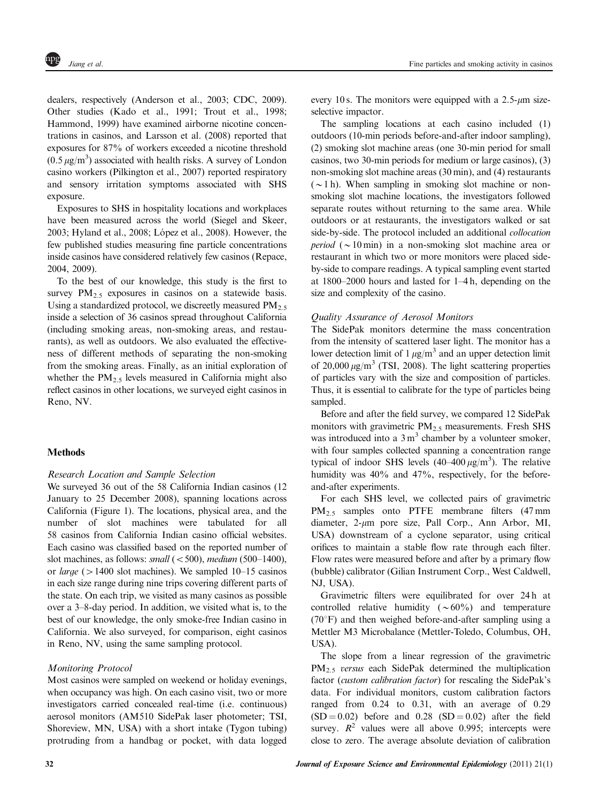dealers, respectively [\(Anderson et al., 2003; CDC, 2009](#page-9-0)). Other studies [\(Kado et al., 1991](#page-9-0); [Trout et al., 1998](#page-10-0); [Hammond, 1999\)](#page-9-0) have examined airborne nicotine concentrations in casinos, and [Larsson et al. \(2008\)](#page-9-0) reported that exposures for 87% of workers exceeded a nicotine threshold  $(0.5 \,\mu\text{g/m}^3)$  associated with health risks. A survey of London casino workers ([Pilkington et al., 2007](#page-9-0)) reported respiratory and sensory irritation symptoms associated with SHS exposure.

Exposures to SHS in hospitality locations and workplaces have been measured across the world [\(Siegel and Skeer,](#page-9-0) 2003; Hyland et al., 2008; López et al., 2008). However, the few published studies measuring fine particle concentrations inside casinos have considered relatively few casinos ([Repace,](#page-9-0) [2004, 2009](#page-9-0)).

To the best of our knowledge, this study is the first to survey  $PM_{2.5}$  exposures in casinos on a statewide basis. Using a standardized protocol, we discreetly measured  $PM_{2.5}$ inside a selection of 36 casinos spread throughout California (including smoking areas, non-smoking areas, and restaurants), as well as outdoors. We also evaluated the effectiveness of different methods of separating the non-smoking from the smoking areas. Finally, as an initial exploration of whether the  $PM_{2.5}$  levels measured in California might also reflect casinos in other locations, we surveyed eight casinos in Reno, NV.

# **Methods**

# Research Location and Sample Selection

We surveyed 36 out of the 58 California Indian casinos (12 January to 25 December 2008), spanning locations across California [\(Figure 1](#page-2-0)). The locations, physical area, and the number of slot machines were tabulated for all 58 casinos from California Indian casino official websites. Each casino was classified based on the reported number of slot machines, as follows: *small*  $(*500*), *medium* (500–1400),$ or *large* ( $>1400$  slot machines). We sampled 10–15 casinos in each size range during nine trips covering different parts of the state. On each trip, we visited as many casinos as possible over a 3–8-day period. In addition, we visited what is, to the best of our knowledge, the only smoke-free Indian casino in California. We also surveyed, for comparison, eight casinos in Reno, NV, using the same sampling protocol.

# Monitoring Protocol

Most casinos were sampled on weekend or holiday evenings, when occupancy was high. On each casino visit, two or more investigators carried concealed real-time (i.e. continuous) aerosol monitors (AM510 SidePak laser photometer; TSI, Shoreview, MN, USA) with a short intake (Tygon tubing) protruding from a handbag or pocket, with data logged every 10 s. The monitors were equipped with a  $2.5-\mu m$  sizeselective impactor.

The sampling locations at each casino included (1) outdoors (10-min periods before-and-after indoor sampling), (2) smoking slot machine areas (one 30-min period for small casinos, two 30-min periods for medium or large casinos), (3) non-smoking slot machine areas (30 min), and (4) restaurants  $({\sim}1$  h). When sampling in smoking slot machine or nonsmoking slot machine locations, the investigators followed separate routes without returning to the same area. While outdoors or at restaurants, the investigators walked or sat side-by-side. The protocol included an additional collocation *period* ( $\sim$ 10 min) in a non-smoking slot machine area or restaurant in which two or more monitors were placed sideby-side to compare readings. A typical sampling event started at 1800–2000 hours and lasted for 1–4 h, depending on the size and complexity of the casino.

# Quality Assurance of Aerosol Monitors

The SidePak monitors determine the mass concentration from the intensity of scattered laser light. The monitor has a lower detection limit of  $1 \mu g/m^3$  and an upper detection limit of 20,000  $\mu$ g/m<sup>3</sup> ([TSI, 2008\)](#page-10-0). The light scattering properties of particles vary with the size and composition of particles. Thus, it is essential to calibrate for the type of particles being sampled.

Before and after the field survey, we compared 12 SidePak monitors with gravimetric  $PM_{2.5}$  measurements. Fresh SHS was introduced into a  $3 \text{ m}^3$  chamber by a volunteer smoker, with four samples collected spanning a concentration range typical of indoor SHS levels  $(40-400 \,\mu g/m^3)$ . The relative humidity was 40% and 47%, respectively, for the beforeand-after experiments.

For each SHS level, we collected pairs of gravimetric PM2.5 samples onto PTFE membrane filters (47 mm diameter,  $2-\mu m$  pore size, Pall Corp., Ann Arbor, MI, USA) downstream of a cyclone separator, using critical orifices to maintain a stable flow rate through each filter. Flow rates were measured before and after by a primary flow (bubble) calibrator (Gilian Instrument Corp., West Caldwell, NJ, USA).

Gravimetric filters were equilibrated for over 24 h at controlled relative humidity ( $\sim 60\%$ ) and temperature  $(70^{\circ}F)$  and then weighed before-and-after sampling using a Mettler M3 Microbalance (Mettler-Toledo, Columbus, OH, USA).

The slope from a linear regression of the gravimetric  $PM<sub>2.5</sub> versus each SidePak determined the multiplication$ factor (custom calibration factor) for rescaling the SidePak's data. For individual monitors, custom calibration factors ranged from 0.24 to 0.31, with an average of 0.29  $(SD = 0.02)$  before and 0.28  $(SD = 0.02)$  after the field survey.  $R^2$  values were all above 0.995; intercepts were close to zero. The average absolute deviation of calibration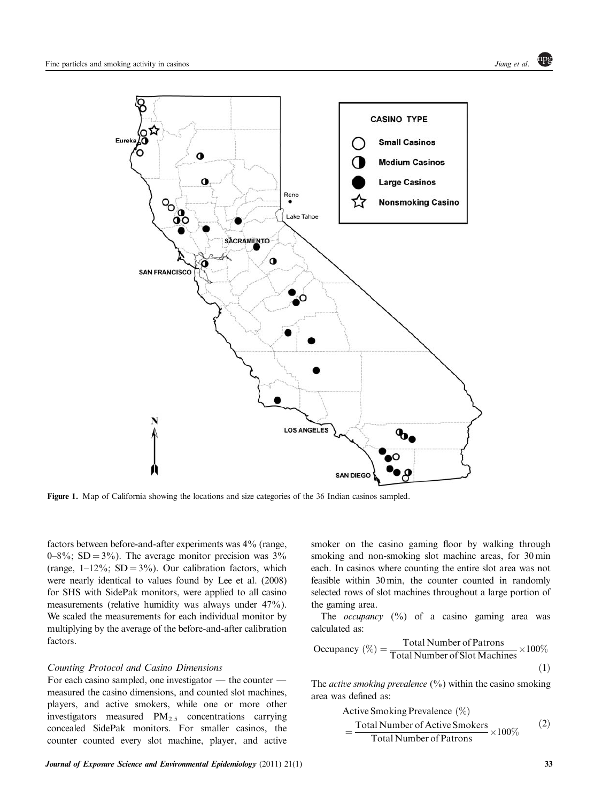<span id="page-2-0"></span>

Figure 1. Map of California showing the locations and size categories of the 36 Indian casinos sampled.

factors between before-and-after experiments was 4% (range,  $0-8\%$ ; SD = 3%). The average monitor precision was 3% (range,  $1-12\%$ ; SD =  $3\%$ ). Our calibration factors, which were nearly identical to values found by [Lee et al. \(2008\)](#page-9-0) for SHS with SidePak monitors, were applied to all casino measurements (relative humidity was always under 47%). We scaled the measurements for each individual monitor by multiplying by the average of the before-and-after calibration factors.

#### Counting Protocol and Casino Dimensions

For each casino sampled, one investigator  $-$  the counter  $$ measured the casino dimensions, and counted slot machines, players, and active smokers, while one or more other investigators measured  $PM_{2.5}$  concentrations carrying concealed SidePak monitors. For smaller casinos, the counter counted every slot machine, player, and active

smoker on the casino gaming floor by walking through smoking and non-smoking slot machine areas, for 30 min each. In casinos where counting the entire slot area was not feasible within 30 min, the counter counted in randomly selected rows of slot machines throughout a large portion of the gaming area.

The *occupancy*  $(\%)$  of a casino gaming area was calculated as:

Occupancy 
$$
(\%) = \frac{\text{Total Number of Patrons}}{\text{Total Number of Slot Machines}} \times 100\%
$$

\n(1)

The *active smoking prevalence*  $(\%)$  within the casino smoking area was defined as:

Active Smoking Prevalence 
$$
(\%)
$$
  
= Total Number of Active Smokers  
Total Number of Patrons  $\times 100\%$  (2)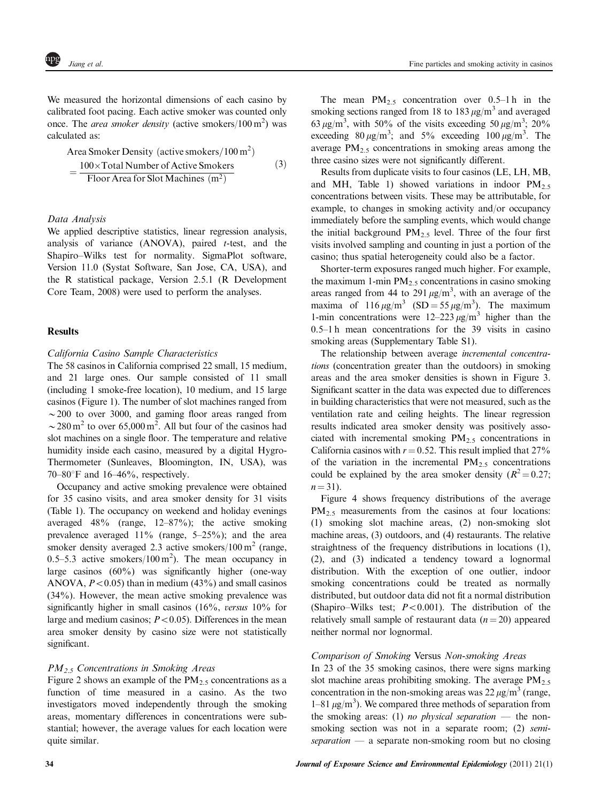We measured the horizontal dimensions of each casino by calibrated foot pacing. Each active smoker was counted only once. The *area smoker density* (active smokers/100 m<sup>2</sup>) was calculated as:

Area Smoker Density (active smokers/100 m<sup>2</sup>)  
= 
$$
\frac{100 \times \text{Total Number of Active Smokers}}{\text{Floor Area for Slot Machines (m2)}} \tag{3}
$$

# Data Analysis

We applied descriptive statistics, linear regression analysis, analysis of variance  $(ANOVA)$ , paired *t*-test, and the Shapiro–Wilks test for normality. SigmaPlot software, Version 11.0 (Systat Software, San Jose, CA, USA), and the R statistical package, Version 2.5.1 [\(R Development](#page-9-0) [Core Team, 2008](#page-9-0)) were used to perform the analyses.

# **Results**

# California Casino Sample Characteristics

The 58 casinos in California comprised 22 small, 15 medium, and 21 large ones. Our sample consisted of 11 small (including 1 smoke-free location), 10 medium, and 15 large casinos [\(Figure 1](#page-2-0)). The number of slot machines ranged from  $\sim$  200 to over 3000, and gaming floor areas ranged from  $\sim$  280 m<sup>2</sup> to over 65,000 m<sup>2</sup>. All but four of the casinos had slot machines on a single floor. The temperature and relative humidity inside each casino, measured by a digital Hygro-Thermometer (Sunleaves, Bloomington, IN, USA), was 70–80 $\degree$ F and 16–46 $\%$ , respectively.

Occupancy and active smoking prevalence were obtained for 35 casino visits, and area smoker density for 31 visits ([Table 1\)](#page-4-0). The occupancy on weekend and holiday evenings averaged 48% (range, 12–87%); the active smoking prevalence averaged 11% (range, 5–25%); and the area smoker density averaged 2.3 active smokers/100  $m<sup>2</sup>$  (range, 0.5–5.3 active smokers/100 m<sup>2</sup>). The mean occupancy in large casinos (60%) was significantly higher (one-way ANOVA,  $P < 0.05$ ) than in medium (43%) and small casinos (34%). However, the mean active smoking prevalence was significantly higher in small casinos (16%, versus 10% for large and medium casinos;  $P < 0.05$ ). Differences in the mean area smoker density by casino size were not statistically significant.

# $PM_{2.5}$  Concentrations in Smoking Areas

[Figure 2](#page-5-0) shows an example of the  $PM_{2.5}$  concentrations as a function of time measured in a casino. As the two investigators moved independently through the smoking areas, momentary differences in concentrations were substantial; however, the average values for each location were quite similar.

The mean  $PM_{2.5}$  concentration over 0.5–1 h in the smoking sections ranged from 18 to 183  $\mu$ g/m<sup>3</sup> and averaged 63  $\mu$ g/m<sup>3</sup>, with 50% of the visits exceeding 50  $\mu$ g/m<sup>3</sup>; 20% exceeding  $80 \mu g/m^3$ ; and  $5\%$  exceeding  $100 \mu g/m^3$ . The average  $PM_{2.5}$  concentrations in smoking areas among the three casino sizes were not significantly different.

Results from duplicate visits to four casinos (LE, LH, MB, and MH, [Table 1](#page-4-0)) showed variations in indoor  $PM_2$ . concentrations between visits. These may be attributable, for example, to changes in smoking activity and/or occupancy immediately before the sampling events, which would change the initial background  $PM_{2.5}$  level. Three of the four first visits involved sampling and counting in just a portion of the casino; thus spatial heterogeneity could also be a factor.

Shorter-term exposures ranged much higher. For example, the maximum 1-min  $PM_{2.5}$  concentrations in casino smoking areas ranged from 44 to 291  $\mu$ g/m<sup>3</sup>, with an average of the maxima of  $116 \,\mu\text{g/m}^3$  (SD = 55  $\mu\text{g/m}^3$ ). The maximum 1-min concentrations were  $12-223 \mu g/m^3$  higher than the 0.5–1 h mean concentrations for the 39 visits in casino smoking areas (Supplementary Table S1).

The relationship between average incremental concentrations (concentration greater than the outdoors) in smoking areas and the area smoker densities is shown in [Figure 3](#page-5-0). Significant scatter in the data was expected due to differences in building characteristics that were not measured, such as the ventilation rate and ceiling heights. The linear regression results indicated area smoker density was positively associated with incremental smoking  $PM_{2.5}$  concentrations in California casinos with  $r = 0.52$ . This result implied that 27% of the variation in the incremental  $PM<sub>2.5</sub>$  concentrations could be explained by the area smoker density  $(R^2 = 0.27$ ;  $n = 31$ .

[Figure 4](#page-6-0) shows frequency distributions of the average PM<sub>2.5</sub> measurements from the casinos at four locations: (1) smoking slot machine areas, (2) non-smoking slot machine areas, (3) outdoors, and (4) restaurants. The relative straightness of the frequency distributions in locations (1), (2), and (3) indicated a tendency toward a lognormal distribution. With the exception of one outlier, indoor smoking concentrations could be treated as normally distributed, but outdoor data did not fit a normal distribution (Shapiro–Wilks test;  $P < 0.001$ ). The distribution of the relatively small sample of restaurant data  $(n = 20)$  appeared neither normal nor lognormal.

# Comparison of Smoking Versus Non-smoking Areas

In 23 of the 35 smoking casinos, there were signs marking slot machine areas prohibiting smoking. The average  $PM_{2.5}$ concentration in the non-smoking areas was  $22 \mu g/m^3$  (range,  $1-81 \mu g/m^3$ ). We compared three methods of separation from the smoking areas: (1) no physical separation  $-$  the nonsmoking section was not in a separate room; (2) semiseparation  $-$  a separate non-smoking room but no closing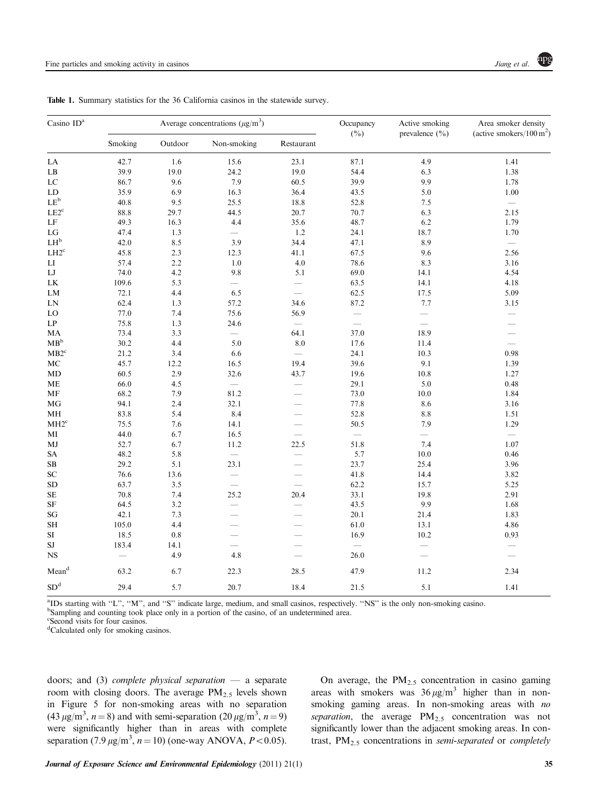| Casino ID <sup>a</sup>               | Average concentrations $(\mu g/m^3)$ |             |                                 |                          | Occupancy | Active smoking     | Area smoker density                  |
|--------------------------------------|--------------------------------------|-------------|---------------------------------|--------------------------|-----------|--------------------|--------------------------------------|
|                                      | Smoking                              | Outdoor     | Non-smoking                     | Restaurant               | $(\%)$    | prevalence $(\% )$ | (active smokers/ $100 \text{ m}^2$ ) |
| ${\rm LA}$                           | 42.7                                 | 1.6         | 15.6                            | 23.1                     | 87.1      | 4.9                | 1.41                                 |
| $\mathbf{L}\mathbf{B}$               | 39.9                                 | 19.0        | 24.2                            | 19.0                     | 54.4      | 6.3                | 1.38                                 |
| ${\rm LC}$                           | 86.7                                 | 9.6         | 7.9                             | 60.5                     | 39.9      | 9.9                | 1.78                                 |
| LD                                   | 35.9                                 | 6.9         | 16.3                            | 36.4                     | 43.5      | 5.0                | 1.00                                 |
| $\mathrm{LE}^\mathrm{b}$             | 40.8                                 | 9.5         | 25.5                            | 18.8                     | 52.8      | 7.5                | $\overline{\phantom{0}}$             |
| $LE2^c$                              | 88.8                                 | 29.7        | 44.5                            | 20.7                     | 70.7      | 6.3                | 2.15                                 |
| $\rm LF$                             | 49.3                                 | 16.3        | 4.4                             | 35.6                     | 48.7      | 6.2                | 1.79                                 |
| LG                                   | 47.4                                 | 1.3         |                                 | 1.2                      | 24.1      | 18.7               | 1.70                                 |
| $\mathrm{LH}^\mathrm{b}$             | 42.0                                 | 8.5         | 3.9                             | 34.4                     | 47.1      | 8.9                | $\overline{\phantom{m}}$             |
| $\mathrm{L}\mathrm{H2}^{\mathrm{c}}$ | 45.8                                 | 2.3         | 12.3                            | 41.1                     | 67.5      | 9.6                | 2.56                                 |
| $_{\rm LI}$                          | 57.4                                 | 2.2         | 1.0                             | 4.0                      | 78.6      | 8.3                | 3.16                                 |
| ${\rm LJ}$                           | 74.0                                 | 4.2         | 9.8                             | 5.1                      | 69.0      | 14.1               | 4.54                                 |
| ${\rm LK}$                           | 109.6                                | 5.3         | $\overline{\phantom{0}}$        | $\overline{\phantom{0}}$ | 63.5      | 14.1               | 4.18                                 |
| LM                                   | 72.1                                 | 4.4         | 6.5                             | $\frac{1}{2}$            | 62.5      | 17.5               | 5.09                                 |
| ${\rm LN}$                           | 62.4                                 | 1.3         | 57.2                            | 34.6                     | 87.2      | 7.7                | 3.15                                 |
| $_{\rm LO}$                          | 77.0                                 | 7.4         | 75.6                            | 56.9                     |           |                    | $\overline{\phantom{0}}$             |
| $\mathrm{L}\mathrm{P}$               | 75.8                                 | 1.3         | 24.6                            |                          |           |                    | $\overline{\phantom{a}}$             |
| MA                                   | 73.4                                 | 3.3         | $\overline{\phantom{0}}$        | 64.1                     | 37.0      | 18.9               |                                      |
| MB <sup>b</sup>                      | 30.2                                 | 4.4         | 5.0                             | 8.0                      | 17.6      | 11.4               |                                      |
| $MB2^c$                              | 21.2                                 | 3.4         | 6.6                             |                          | 24.1      | 10.3               | 0.98                                 |
| $\rm MC$                             | 45.7                                 | 12.2        | 16.5                            | 19.4                     | 39.6      | 9.1                | 1.39                                 |
| MD                                   | 60.5                                 | 2.9         | 32.6                            | 43.7                     | 19.6      | 10.8               | 1.27                                 |
| ME                                   | 66.0                                 | 4.5         | $\overline{\phantom{m}}$        |                          | 29.1      | 5.0                | 0.48                                 |
| $\rm MF$                             | 68.2                                 | 7.9         | 81.2                            | $\overline{\phantom{0}}$ | 73.0      | 10.0               | 1.84                                 |
| MG                                   | 94.1                                 | 2.4         | 32.1                            |                          | 77.8      | 8.6                | 3.16                                 |
| $\mathbf{MH}$                        | 83.8                                 | 5.4         | 8.4                             | $\overline{\phantom{0}}$ | 52.8      | 8.8                | 1.51                                 |
| $MH2^c$                              | 75.5                                 | 7.6         | 14.1                            |                          | 50.5      | 7.9                | 1.29                                 |
| $\bf MI$                             | 44.0                                 | 6.7         | 16.5                            |                          |           |                    | $\overline{\phantom{m}}$             |
| MJ                                   | 52.7                                 | 6.7         | 11.2                            | 22.5                     | 51.8      | 7.4                | 1.07                                 |
| SA                                   | 48.2                                 | 5.8         | $\overline{\phantom{m}}$        |                          | 5.7       | 10.0               | 0.46                                 |
| $\rm SB$                             | 29.2                                 | 5.1         | 23.1                            |                          | 23.7      | 25.4               | 3.96                                 |
| ${\rm SC}$                           | 76.6                                 | 13.6        | $\overline{\phantom{0}}$        | $\overline{\phantom{0}}$ | 41.8      | 14.4               | 3.82                                 |
| ${\rm SD}$                           | 63.7                                 | 3.5         |                                 | $\overline{\phantom{0}}$ | 62.2      | 15.7               | 5.25                                 |
| $\rm SE$                             | 70.8                                 | 7.4         | 25.2                            | 20.4                     | 33.1      | 19.8               | 2.91                                 |
| $\rm{SF}$                            | 64.5                                 | 3.2         | $\overline{\phantom{0}}$        | $\overline{\phantom{0}}$ | 43.5      | 9.9                | 1.68                                 |
| $\mathbf{S}\mathbf{G}$               | 42.1                                 | 7.3         |                                 | <u>in</u>                | 20.1      | 21.4               | 1.83                                 |
| <b>SH</b>                            | 105.0                                | 4.4         | $\overline{\phantom{0}}$        |                          | 61.0      | 13.1               | 4.86                                 |
| $\rm SI$                             | 18.5                                 | $0.8\,$     |                                 |                          | 16.9      | 10.2               | 0.93                                 |
| $\rm{SJ}$                            | 183.4                                |             |                                 |                          |           |                    |                                      |
| <b>NS</b>                            | $\overline{\phantom{0}}$             | 14.1<br>4.9 | $\overline{\phantom{0}}$<br>4.8 |                          | 26.0      |                    | $\overbrace{\qquad \qquad }^{}$      |
|                                      |                                      |             |                                 |                          |           |                    |                                      |
| Meand                                | 63.2                                 | 6.7         | 22.3                            | 28.5                     | 47.9      | 11.2               | 2.34                                 |
| $\mathrm{SD}^\mathrm{d}$             | 29.4                                 | 5.7         | 20.7                            | 18.4                     | 21.5      | 5.1                | 1.41                                 |

<span id="page-4-0"></span>Table 1. Summary statistics for the 36 California casinos in the statewide survey.

<sup>a</sup>IDs starting with "L", "M", and "S" indicate large, medium, and small casinos, respectively. "NS" is the only non-smoking casino.

<sup>b</sup>Sampling and counting took place only in a portion of the casino, of an undetermined area.

c Second visits for four casinos.

d Calculated only for smoking casinos.

doors; and (3) complete physical separation  $-$  a separate room with closing doors. The average  $PM_{2.5}$  levels shown in [Figure 5](#page-6-0) for non-smoking areas with no separation  $(43 \,\mu\text{g/m}^3, n=8)$  and with semi-separation  $(20 \,\mu\text{g/m}^3, n=9)$ were significantly higher than in areas with complete separation (7.9  $\mu$ g/m<sup>3</sup>, *n* = 10) (one-way ANOVA, *P* < 0.05).

On average, the  $PM_{2.5}$  concentration in casino gaming areas with smokers was  $36 \mu g/m^3$  higher than in nonsmoking gaming areas. In non-smoking areas with no separation, the average  $PM_{2.5}$  concentration was not significantly lower than the adjacent smoking areas. In contrast,  $PM_{2.5}$  concentrations in semi-separated or completely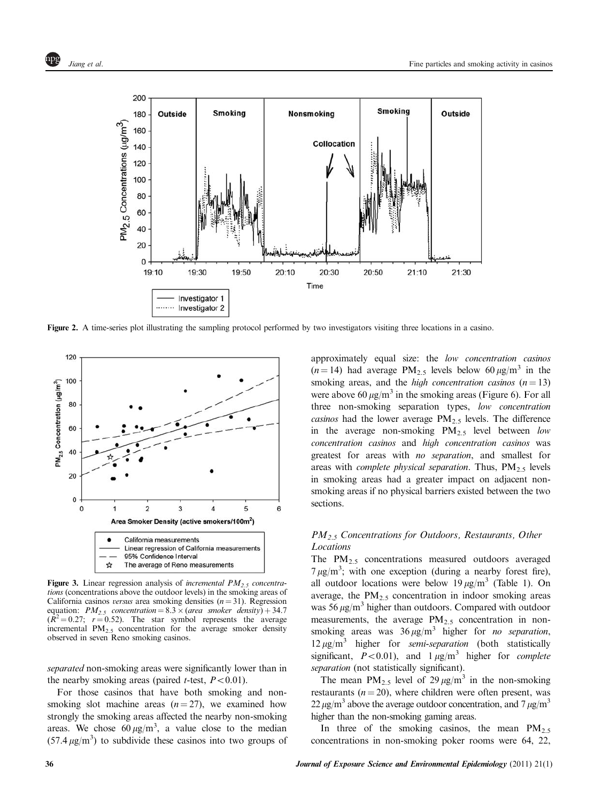<span id="page-5-0"></span>

Figure 2. A time-series plot illustrating the sampling protocol performed by two investigators visiting three locations in a casino.



Figure 3. Linear regression analysis of *incremental PM<sub>2</sub>*, *concentra*tions (concentrations above the outdoor levels) in the smoking areas of California casinos versus area smoking densities  $(n = 31)$ . Regression equation:  $PM_{2.5}$  concentration =  $8.3 \times (area \; smoker \; density) + 34.7$  $(R^2 = 0.27; r = 0.52)$ . The star symbol represents the average incremental  $PM_{2.5}$  concentration for the average smoker density observed in seven Reno smoking casinos.

separated non-smoking areas were significantly lower than in the nearby smoking areas (paired *t*-test,  $P < 0.01$ ).

For those casinos that have both smoking and nonsmoking slot machine areas  $(n = 27)$ , we examined how strongly the smoking areas affected the nearby non-smoking areas. We chose  $60 \mu g/m^3$ , a value close to the median  $(57.4 \,\mu\text{g/m}^3)$  to subdivide these casinos into two groups of

approximately equal size: the low concentration casinos  $(n = 14)$  had average PM<sub>2.5</sub> levels below 60  $\mu$ g/m<sup>3</sup> in the smoking areas, and the *high concentration casinos*  $(n = 13)$ were above 60  $\mu$ g/m<sup>3</sup> in the smoking areas [\(Figure 6](#page-7-0)). For all three non-smoking separation types, low concentration *casinos* had the lower average  $PM_{2.5}$  levels. The difference in the average non-smoking  $PM_{2.5}$  level between low concentration casinos and high concentration casinos was greatest for areas with no separation, and smallest for areas with *complete physical separation*. Thus,  $PM_{2.5}$  levels in smoking areas had a greater impact on adjacent nonsmoking areas if no physical barriers existed between the two sections.

# $PM_{2.5}$  Concentrations for Outdoors, Restaurants, Other Locations

The  $PM_{2.5}$  concentrations measured outdoors averaged  $7 \mu g/m^3$ ; with one exception (during a nearby forest fire), all outdoor locations were below 19  $\mu$ g/m<sup>3</sup> [\(Table 1\)](#page-4-0). On average, the  $PM_{2.5}$  concentration in indoor smoking areas was 56  $\mu$ g/m<sup>3</sup> higher than outdoors. Compared with outdoor measurements, the average  $PM_{2.5}$  concentration in nonsmoking areas was  $36 \mu g/m^3$  higher for *no separation*,  $12 \mu g/m^3$  higher for *semi-separation* (both statistically significant,  $P < 0.01$ ), and  $1 \mu g/m^3$  higher for *complete* separation (not statistically significant).

The mean  $PM_{2.5}$  level of  $29 \mu g/m^3$  in the non-smoking restaurants ( $n = 20$ ), where children were often present, was  $22 \mu g/m^3$  above the average outdoor concentration, and  $7 \mu g/m^3$ higher than the non-smoking gaming areas.

In three of the smoking casinos, the mean  $PM_{2.5}$ concentrations in non-smoking poker rooms were 64, 22,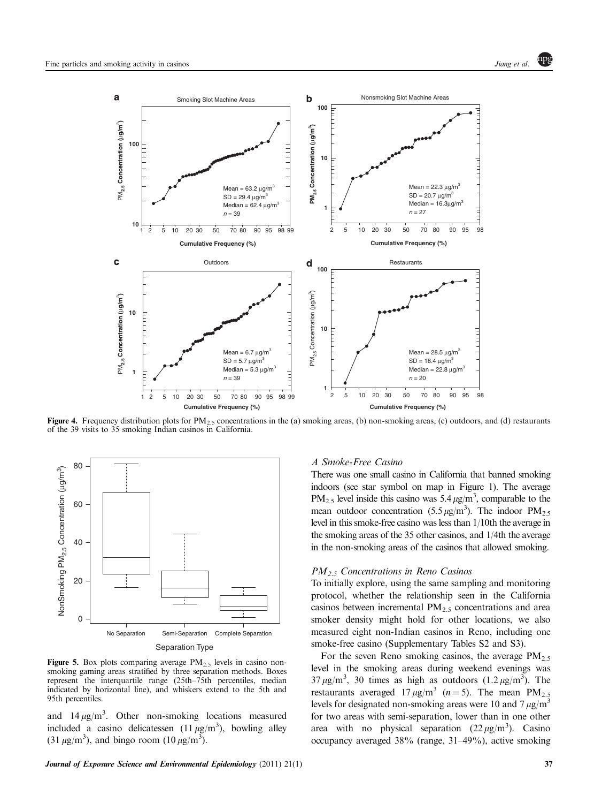<span id="page-6-0"></span>

**Figure 4.** Frequency distribution plots for  $PM_{2,5}$  concentrations in the (a) smoking areas, (b) non-smoking areas, (c) outdoors, and (d) restaurants of the 39 visits to 35 smoking Indian casinos in California.



# Separation Type

Figure 5. Box plots comparing average  $PM_{2.5}$  levels in casino nonsmoking gaming areas stratified by three separation methods. Boxes represent the interquartile range (25th–75th percentiles, median indicated by horizontal line), and whiskers extend to the 5th and 95th percentiles.

and  $14 \mu g/m^3$ . Other non-smoking locations measured included a casino delicatessen  $(11 \mu g/m^3)$ , bowling alley  $(31 \,\mu\text{g/m}^3)$ , and bingo room  $(10 \,\mu\text{g/m}^3)$ .

## A Smoke-Free Casino

There was one small casino in California that banned smoking indoors (see star symbol on map in [Figure 1\)](#page-2-0). The average  $PM_{2.5}$  level inside this casino was 5.4  $\mu$ g/m<sup>3</sup>, comparable to the mean outdoor concentration (5.5  $\mu$ g/m<sup>3</sup>). The indoor PM<sub>2.5</sub> level in this smoke-free casino was less than 1/10th the average in the smoking areas of the 35 other casinos, and 1/4th the average in the non-smoking areas of the casinos that allowed smoking.

#### $PM<sub>2.5</sub>$  Concentrations in Reno Casinos

To initially explore, using the same sampling and monitoring protocol, whether the relationship seen in the California casinos between incremental  $PM_{2.5}$  concentrations and area smoker density might hold for other locations, we also measured eight non-Indian casinos in Reno, including one smoke-free casino (Supplementary Tables S2 and S3).

For the seven Reno smoking casinos, the average  $PM_{2.5}$ level in the smoking areas during weekend evenings was  $37 \mu g/m^3$ , 30 times as high as outdoors  $(1.2 \mu g/m^3)$ . The restaurants averaged  $17 \mu g/m^3$  (n = 5). The mean PM<sub>2.5</sub> levels for designated non-smoking areas were 10 and 7  $\mu$ g/m<sup>3</sup> for two areas with semi-separation, lower than in one other area with no physical separation  $(22 \,\mu\text{g/m}^3)$ . Casino occupancy averaged 38% (range, 31–49%), active smoking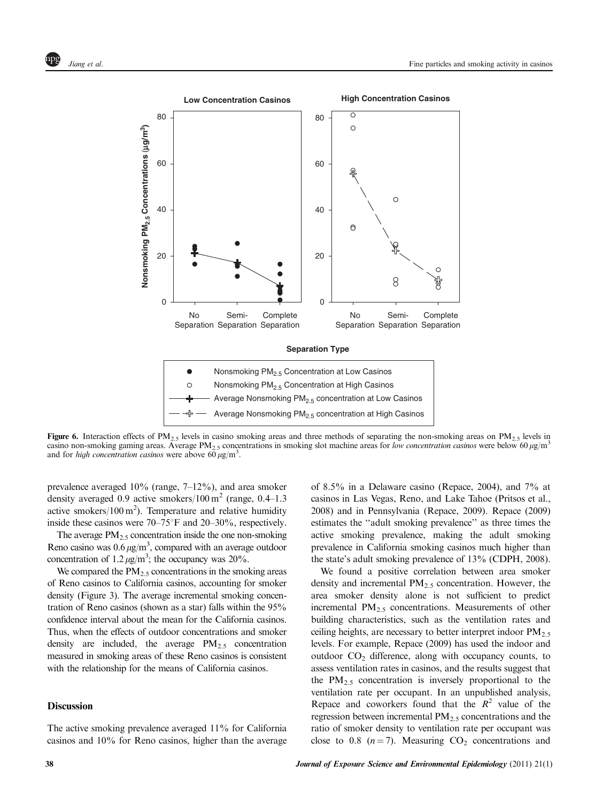<span id="page-7-0"></span>

**Figure 6.** Interaction effects of PM<sub>2.5</sub> levels in casino smoking areas and three methods of separating the non-smoking areas on PM<sub>2.5</sub> levels in casino non-smoking gaming areas. Average PM<sub>2.5</sub> concentrations in smoking slot machine areas for low concentration casinos were below 60  $\mu$ g/m<sup>3</sup> and for high concentration casinos were above  $60 \mu g/m^3$ .

prevalence averaged 10% (range, 7–12%), and area smoker density averaged 0.9 active smokers/100 m<sup>2</sup> (range, 0.4–1.3) active smokers/ $100 \text{ m}^2$ ). Temperature and relative humidity inside these casinos were  $70-75^{\circ}$ F and  $20-30\%$ , respectively.

The average  $PM_{2.5}$  concentration inside the one non-smoking Reno casino was  $0.6 \,\mu\text{g/m}^3$ , compared with an average outdoor concentration of  $1.2 \,\mu\text{g/m}^3$ ; the occupancy was  $20\%$ .

We compared the  $PM<sub>2.5</sub>$  concentrations in the smoking areas of Reno casinos to California casinos, accounting for smoker density ([Figure 3\)](#page-5-0). The average incremental smoking concentration of Reno casinos (shown as a star) falls within the 95% confidence interval about the mean for the California casinos. Thus, when the effects of outdoor concentrations and smoker density are included, the average  $PM_{2.5}$  concentration measured in smoking areas of these Reno casinos is consistent with the relationship for the means of California casinos.

# **Discussion**

The active smoking prevalence averaged 11% for California casinos and 10% for Reno casinos, higher than the average of 8.5% in a Delaware casino [\(Repace, 2004](#page-9-0)), and 7% at casinos in Las Vegas, Reno, and Lake Tahoe [\(Pritsos et al.,](#page-9-0) [2008\)](#page-9-0) and in Pennsylvania ([Repace, 2009](#page-9-0)). [Repace \(2009\)](#page-9-0) estimates the ''adult smoking prevalence'' as three times the active smoking prevalence, making the adult smoking prevalence in California smoking casinos much higher than the state's adult smoking prevalence of 13% [\(CDPH, 2008](#page-9-0)).

We found a positive correlation between area smoker density and incremental  $PM_{2.5}$  concentration. However, the area smoker density alone is not sufficient to predict incremental  $PM_{2.5}$  concentrations. Measurements of other building characteristics, such as the ventilation rates and ceiling heights, are necessary to better interpret indoor  $PM_{2.5}$ levels. For example, [Repace \(2009\)](#page-9-0) has used the indoor and outdoor  $CO<sub>2</sub>$  difference, along with occupancy counts, to assess ventilation rates in casinos, and the results suggest that the  $PM_{2.5}$  concentration is inversely proportional to the ventilation rate per occupant. In an unpublished analysis, Repace and coworkers found that the  $R^2$  value of the regression between incremental  $PM_{2.5}$  concentrations and the ratio of smoker density to ventilation rate per occupant was close to 0.8 ( $n = 7$ ). Measuring  $CO<sub>2</sub>$  concentrations and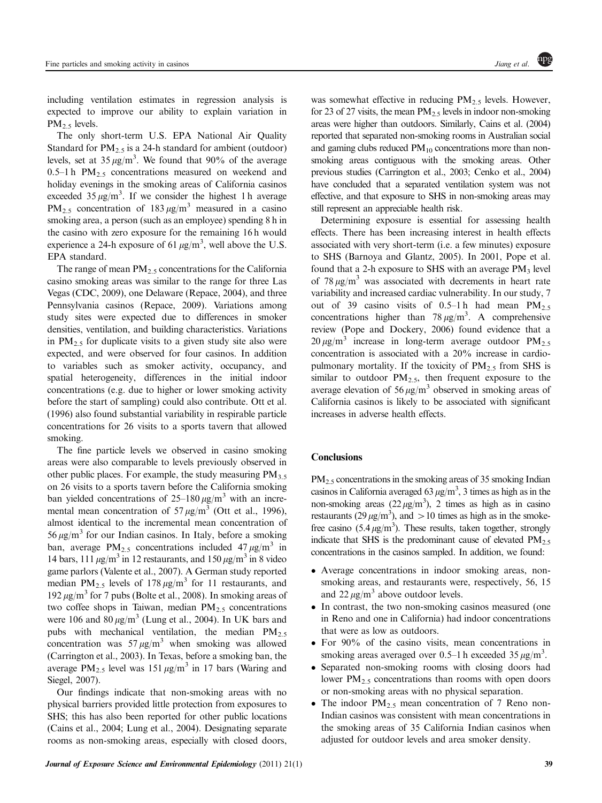including ventilation estimates in regression analysis is expected to improve our ability to explain variation in  $PM<sub>2.5</sub>$  levels.

The only short-term U.S. EPA National Air Quality Standard for  $PM_{2.5}$  is a 24-h standard for ambient (outdoor) levels, set at  $35 \mu g/m^3$ . We found that 90% of the average 0.5–1 h PM<sub>2.5</sub> concentrations measured on weekend and holiday evenings in the smoking areas of California casinos exceeded  $35 \mu g/m^3$ . If we consider the highest 1 h average  $PM_{2.5}$  concentration of 183  $\mu$ g/m<sup>3</sup> measured in a casino smoking area, a person (such as an employee) spending 8 h in the casino with zero exposure for the remaining 16 h would experience a 24-h exposure of 61  $\mu$ g/m<sup>3</sup>, well above the U.S. EPA standard.

The range of mean  $PM_{2.5}$  concentrations for the California casino smoking areas was similar to the range for three Las Vegas ([CDC, 2009](#page-9-0)), one Delaware ([Repace, 2004](#page-9-0)), and three Pennsylvania casinos [\(Repace, 2009](#page-9-0)). Variations among study sites were expected due to differences in smoker densities, ventilation, and building characteristics. Variations in  $PM_{2.5}$  for duplicate visits to a given study site also were expected, and were observed for four casinos. In addition to variables such as smoker activity, occupancy, and spatial heterogeneity, differences in the initial indoor concentrations (e.g. due to higher or lower smoking activity before the start of sampling) could also contribute. [Ott et al.](#page-9-0) [\(1996\)](#page-9-0) also found substantial variability in respirable particle concentrations for 26 visits to a sports tavern that allowed smoking.

The fine particle levels we observed in casino smoking areas were also comparable to levels previously observed in other public places. For example, the study measuring  $PM_{3.5}$ on 26 visits to a sports tavern before the California smoking ban yielded concentrations of  $25-180 \mu g/m^3$  with an incremental mean concentration of 57  $\mu$ g/m<sup>3</sup> ([Ott et al., 1996](#page-9-0)), almost identical to the incremental mean concentration of  $56 \mu g/m^3$  for our Indian casinos. In Italy, before a smoking ban, average PM<sub>2.5</sub> concentrations included  $47 \mu g/m^3$  in 14 bars, 111  $\mu$ g/m<sup>3</sup> in 12 restaurants, and 150  $\mu$ g/m<sup>3</sup> in 8 video game parlors ([Valente et al., 2007\)](#page-10-0). A German study reported median PM<sub>2.5</sub> levels of 178  $\mu$ g/m<sup>3</sup> for 11 restaurants, and 192  $\mu$ g/m<sup>3</sup> for 7 pubs [\(Bolte et al., 2008](#page-9-0)). In smoking areas of two coffee shops in Taiwan, median  $PM_2$ , concentrations were 106 and 80  $\mu$ g/m<sup>3</sup> ([Lung et al., 2004](#page-9-0)). In UK bars and pubs with mechanical ventilation, the median  $PM_{2.5}$ concentration was  $57 \mu g/m^3$  when smoking was allowed ([Carrington et al., 2003\)](#page-9-0). In Texas, before a smoking ban, the average PM<sub>2.5</sub> level was 151  $\mu$ g/m<sup>3</sup> in 17 bars ([Waring and](#page-10-0) [Siegel, 2007](#page-10-0)).

Our findings indicate that non-smoking areas with no physical barriers provided little protection from exposures to SHS; this has also been reported for other public locations ([Cains et al., 2004; Lung et al., 2004](#page-9-0)). Designating separate rooms as non-smoking areas, especially with closed doors, was somewhat effective in reducing PM<sub>2.5</sub> levels. However, for 23 of 27 visits, the mean  $PM_2$ , levels in indoor non-smoking areas were higher than outdoors. Similarly, [Cains et al. \(2004\)](#page-9-0) reported that separated non-smoking rooms in Australian social and gaming clubs reduced  $PM_{10}$  concentrations more than nonsmoking areas contiguous with the smoking areas. Other previous studies ([Carrington et al., 2003](#page-9-0); [Cenko et al., 2004\)](#page-9-0) have concluded that a separated ventilation system was not effective, and that exposure to SHS in non-smoking areas may still represent an appreciable health risk.

Determining exposure is essential for assessing health effects. There has been increasing interest in health effects associated with very short-term (i.e. a few minutes) exposure to SHS ([Barnoya and Glantz, 2005](#page-9-0)). In 2001, Pope et al. found that a 2-h exposure to SHS with an average  $PM_3$  level of 78  $\mu$ g/m<sup>3</sup> was associated with decrements in heart rate variability and increased cardiac vulnerability. In our study, 7 out of 39 casino visits of 0.5–1 h had mean  $PM_{2.5}$ concentrations higher than  $78 \mu g/m^3$ . A comprehensive review [\(Pope and Dockery, 2006\)](#page-9-0) found evidence that a  $20 \mu g/m^3$  increase in long-term average outdoor PM<sub>2.5</sub> concentration is associated with a 20% increase in cardiopulmonary mortality. If the toxicity of  $PM_2$ , from SHS is similar to outdoor  $PM<sub>2.5</sub>$ , then frequent exposure to the average elevation of 56  $\mu$ g/m<sup>3</sup> observed in smoking areas of California casinos is likely to be associated with significant increases in adverse health effects.

# **Conclusions**

PM<sub>2.5</sub> concentrations in the smoking areas of 35 smoking Indian casinos in California averaged 63  $\mu$ g/m<sup>3</sup>, 3 times as high as in the non-smoking areas  $(22 \,\mu\text{g/m}^3)$ , 2 times as high as in casino restaurants (29  $\mu$ g/m<sup>3</sup>), and > 10 times as high as in the smokefree casino  $(5.4 \,\mu g/m^3)$ . These results, taken together, strongly indicate that SHS is the predominant cause of elevated  $PM<sub>2.5</sub>$ concentrations in the casinos sampled. In addition, we found:

- Average concentrations in indoor smoking areas, nonsmoking areas, and restaurants were, respectively, 56, 15 and  $22 \mu g/m^3$  above outdoor levels.
- In contrast, the two non-smoking casinos measured (one in Reno and one in California) had indoor concentrations that were as low as outdoors.
- For 90% of the casino visits, mean concentrations in smoking areas averaged over 0.5–1 h exceeded  $35 \mu g/m^3$ .
- Separated non-smoking rooms with closing doors had lower  $PM<sub>2.5</sub>$  concentrations than rooms with open doors or non-smoking areas with no physical separation.
- The indoor  $PM_{2.5}$  mean concentration of 7 Reno non-Indian casinos was consistent with mean concentrations in the smoking areas of 35 California Indian casinos when adjusted for outdoor levels and area smoker density.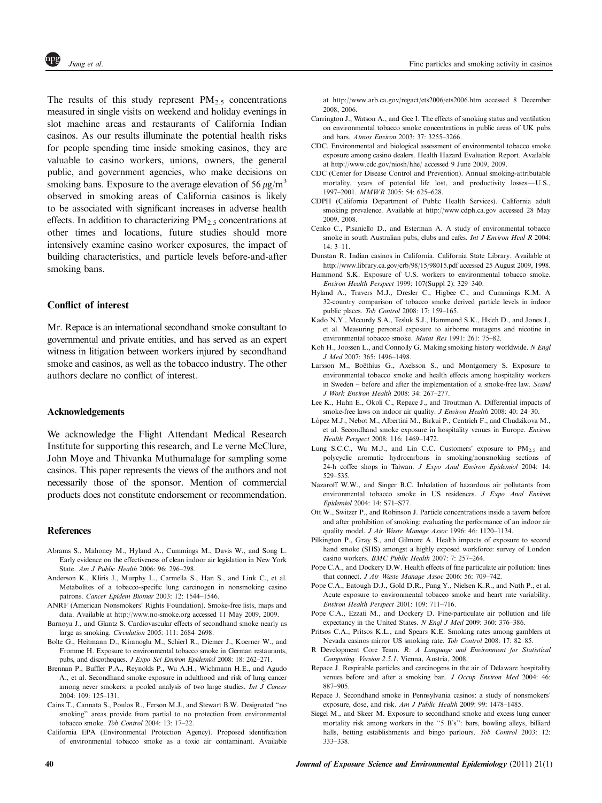<span id="page-9-0"></span>The results of this study represent  $PM_{2.5}$  concentrations measured in single visits on weekend and holiday evenings in slot machine areas and restaurants of California Indian casinos. As our results illuminate the potential health risks for people spending time inside smoking casinos, they are valuable to casino workers, unions, owners, the general public, and government agencies, who make decisions on smoking bans. Exposure to the average elevation of 56  $\mu$ g/m<sup>3</sup> observed in smoking areas of California casinos is likely to be associated with significant increases in adverse health effects. In addition to characterizing  $PM_{2.5}$  concentrations at other times and locations, future studies should more intensively examine casino worker exposures, the impact of building characteristics, and particle levels before-and-after smoking bans.

# Conflict of interest

Mr. Repace is an international secondhand smoke consultant to governmental and private entities, and has served as an expert witness in litigation between workers injured by secondhand smoke and casinos, as well as the tobacco industry. The other authors declare no conflict of interest.

# Acknowledgements

We acknowledge the Flight Attendant Medical Research Institute for supporting this research, and Le verne McClure, John Moye and Thivanka Muthumalage for sampling some casinos. This paper represents the views of the authors and not necessarily those of the sponsor. Mention of commercial products does not constitute endorsement or recommendation.

#### References

- Abrams S., Mahoney M., Hyland A., Cummings M., Davis W., and Song L. Early evidence on the effectiveness of clean indoor air legislation in New York State. Am J Public Health 2006: 96: 296–298.
- Anderson K., Kliris J., Murphy L., Carmella S., Han S., and Link C., et al. Metabolites of a tobacco-specific lung carcinogen in nonsmoking casino patrons. Cancer Epidem Biomar 2003: 12: 1544–1546.
- ANRF (American Nonsmokers' Rights Foundation). Smoke-free lists, maps and data. Available at<http://www.no-smoke.org> accessed 11 May 2009, 2009.
- Barnoya J., and Glantz S. Cardiovascular effects of secondhand smoke nearly as large as smoking. Circulation 2005: 111: 2684–2698.
- Bolte G., Heitmann D., Kiranoglu M., Schierl R., Diemer J., Koerner W., and Fromme H. Exposure to environmental tobacco smoke in German restaurants, pubs, and discotheques. J Expo Sci Environ Epidemiol 2008: 18: 262-271.
- Brennan P., Buffler P.A., Reynolds P., Wu A.H., Wichmann H.E., and Agudo A., et al. Secondhand smoke exposure in adulthood and risk of lung cancer among never smokers: a pooled analysis of two large studies. Int J Cancer 2004: 109: 125–131.
- Cains T., Cannata S., Poulos R., Ferson M.J., and Stewart B.W. Designated ''no smoking'' areas provide from partial to no protection from environmental tobacco smoke. Tob Control 2004: 13: 17–22.
- California EPA (Environmental Protection Agency). Proposed identification of environmental tobacco smoke as a toxic air contaminant. Available

at<http://www.arb.ca.gov/regact/ets2006/ets2006.htm> accessed 8 December 2008, 2006.

- Carrington J., Watson A., and Gee I. The effects of smoking status and ventilation on environmental tobacco smoke concentrations in public areas of UK pubs and bars. Atmos Environ 2003: 37: 3255–3266.
- CDC. Environmental and biological assessment of environmental tobacco smoke exposure among casino dealers. Health Hazard Evaluation Report. Available at<http://www.cdc.gov/niosh/hhe/> accessed 9 June 2009, 2009.
- CDC (Center for Disease Control and Prevention). Annual smoking-attributable mortality, years of potential life lost, and productivity losses-U.S., 1997–2001. MMWR 2005: 54: 625–628.
- CDPH (California Department of Public Health Services). California adult smoking prevalence. Available at<http://www.cdph.ca.gov> accessed 28 May 2009, 2008.
- Cenko C., Pisaniello D., and Esterman A. A study of environmental tobacco smoke in south Australian pubs, clubs and cafes. Int J Environ Heal R 2004: 14: 3–11.
- Dunstan R. Indian casinos in California. California State Library. Available at <http://www.library.ca.gov/crb/98/15/98015.pdf> accessed 25 August 2009, 1998.
- Hammond S.K. Exposure of U.S. workers to environmental tobacco smoke. Environ Health Perspect 1999: 107(Suppl 2): 329–340.
- Hyland A., Travers M.J., Dresler C., Higbee C., and Cummings K.M. A 32-country comparison of tobacco smoke derived particle levels in indoor public places. Tob Control 2008: 17: 159–165.
- Kado N.Y., Mccurdy S.A., Tesluk S.J., Hammond S.K., Hsieh D., and Jones J., et al. Measuring personal exposure to airborne mutagens and nicotine in environmental tobacco smoke. Mutat Res 1991: 261: 75–82.
- Koh H., Joossen L., and Connolly G. Making smoking history worldwide. N Engl J Med 2007: 365: 1496–1498.
- Larsson M., Boëthius G., Axelsson S., and Montgomery S. Exposure to environmental tobacco smoke and health effects among hospitality workers in Sweden – before and after the implementation of a smoke-free law. Scand J Work Environ Health 2008: 34: 267–277.
- Lee K., Hahn E., Okoli C., Repace J., and Troutman A. Differential impacts of smoke-free laws on indoor air quality. J Environ Health 2008: 40: 24-30.
- López M.J., Nebot M., Albertini M., Birkui P., Centrich F., and Chudzikova M., et al. Secondhand smoke exposure in hospitality venues in Europe. Environ Health Perspect 2008: 116: 1469–1472.
- Lung S.C.C., Wu M.J., and Lin C.C. Customers' exposure to  $PM_{2.5}$  and polycyclic aromatic hydrocarbons in smoking/nonsmoking sections of 24-h coffee shops in Taiwan. J Expo Anal Environ Epidemiol 2004: 14: 529–535.
- Nazaroff W.W., and Singer B.C. Inhalation of hazardous air pollutants from environmental tobacco smoke in US residences. J Expo Anal Environ Epidemiol 2004: 14: S71–S77.
- Ott W., Switzer P., and Robinson J. Particle concentrations inside a tavern before and after prohibition of smoking: evaluating the performance of an indoor air quality model. J Air Waste Manage Assoc 1996: 46: 1120–1134.
- Pilkington P., Gray S., and Gilmore A. Health impacts of exposure to second hand smoke (SHS) amongst a highly exposed workforce: survey of London casino workers. BMC Public Health 2007: 7: 257–264.
- Pope C.A., and Dockery D.W. Health effects of fine particulate air pollution: lines that connect. J Air Waste Manage Assoc 2006: 56: 709–742.
- Pope C.A., Eatough D.J., Gold D.R., Pang Y., Nielsen K.R., and Nath P., et al. Acute exposure to environmental tobacco smoke and heart rate variability. Environ Health Perspect 2001: 109: 711–716.
- Pope C.A., Ezzati M., and Dockery D. Fine-particulate air pollution and life expectancy in the United States. N Engl J Med 2009: 360: 376–386.
- Pritsos C.A., Pritsos K.L., and Spears K.E. Smoking rates among gamblers at Nevada casinos mirror US smoking rate. Tob Control 2008: 17: 82–85.
- R Development Core Team. R: A Language and Environment for Statistical Computing. Version 2.5.1. Vienna, Austria, 2008.
- Repace J. Respirable particles and carcinogens in the air of Delaware hospitality venues before and after a smoking ban. J Occup Environ Med 2004: 46: 887–905.
- Repace J. Secondhand smoke in Pennsylvania casinos: a study of nonsmokers' exposure, dose, and risk. Am J Public Health 2009: 99: 1478–1485.
- Siegel M., and Skeer M. Exposure to secondhand smoke and excess lung cancer mortality risk among workers in the ''5 B's'': bars, bowling alleys, billiard halls, betting establishments and bingo parlours. Tob Control 2003: 12: 333–338.